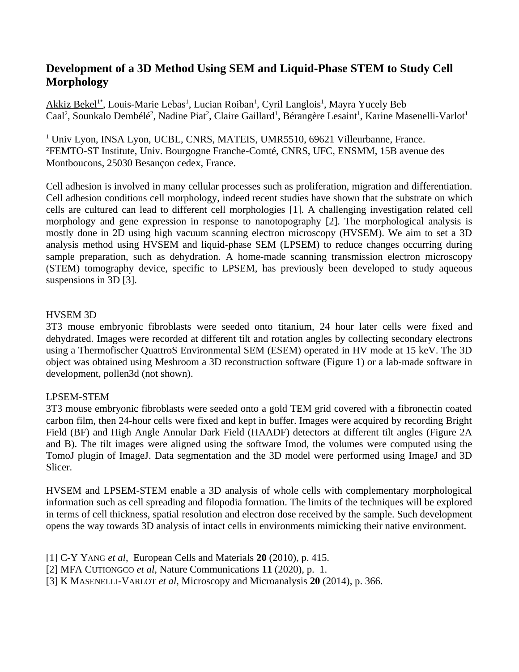## **Development of a 3D Method Using SEM and Liquid-Phase STEM to Study Cell Morphology**

Akkiz Bekel<sup>1\*</sup>, Louis-Marie Lebas<sup>1</sup>, Lucian Roiban<sup>1</sup>, Cyril Langlois<sup>1</sup>, Mayra Yucely Beb Caal<sup>2</sup>, Sounkalo Dembélé<sup>2</sup>, Nadine Piat<sup>2</sup>, Claire Gaillard<sup>1</sup>, Bérangère Lesaint<sup>1</sup>, Karine Masenelli-Varlot<sup>1</sup>

<sup>1</sup> Univ Lyon, INSA Lyon, UCBL, CNRS, MATEIS, UMR5510, 69621 Villeurbanne, France. <sup>2</sup>FEMTO-ST Institute, Univ. Bourgogne Franche-Comté, CNRS, UFC, ENSMM, 15B avenue des Montboucons, 25030 Besançon cedex, France.

Cell adhesion is involved in many cellular processes such as proliferation, migration and differentiation. Cell adhesion conditions cell morphology, indeed recent studies have shown that the substrate on which cells are cultured can lead to different cell morphologies [1]. A challenging investigation related cell morphology and gene expression in response to nanotopography [2]. The morphological analysis is mostly done in 2D using high vacuum scanning electron microscopy (HVSEM). We aim to set a 3D analysis method using HVSEM and liquid-phase SEM (LPSEM) to reduce changes occurring during sample preparation, such as dehydration. A home-made scanning transmission electron microscopy (STEM) tomography device, specific to LPSEM, has previously been developed to study aqueous suspensions in 3D [3].

## HVSEM 3D

3T3 mouse embryonic fibroblasts were seeded onto titanium, 24 hour later cells were fixed and dehydrated. Images were recorded at different tilt and rotation angles by collecting secondary electrons using a Thermofischer QuattroS Environmental SEM (ESEM) operated in HV mode at 15 keV. The 3D object was obtained using Meshroom a 3D reconstruction software (Figure 1) or a lab-made software in development, pollen3d (not shown).

## LPSEM-STEM

3T3 mouse embryonic fibroblasts were seeded onto a gold TEM grid covered with a fibronectin coated carbon film, then 24-hour cells were fixed and kept in buffer. Images were acquired by recording Bright Field (BF) and High Angle Annular Dark Field (HAADF) detectors at different tilt angles (Figure 2A and B). The tilt images were aligned using the software Imod, the volumes were computed using the TomoJ plugin of ImageJ. Data segmentation and the 3D model were performed using ImageJ and 3D Slicer.

HVSEM and LPSEM-STEM enable a 3D analysis of whole cells with complementary morphological information such as cell spreading and filopodia formation. The limits of the techniques will be explored in terms of cell thickness, spatial resolution and electron dose received by the sample. Such development opens the way towards 3D analysis of intact cells in environments mimicking their native environment.

- [1] C-Y YANG *et al*, European Cells and Materials **20** (2010), p. 415.
- [2] MFA CUTIONGCO *et al*, Nature Communications **11** (2020), p. 1.

[3] K MASENELLI-VARLOT *et al*, Microscopy and Microanalysis **20** (2014), p. 366.